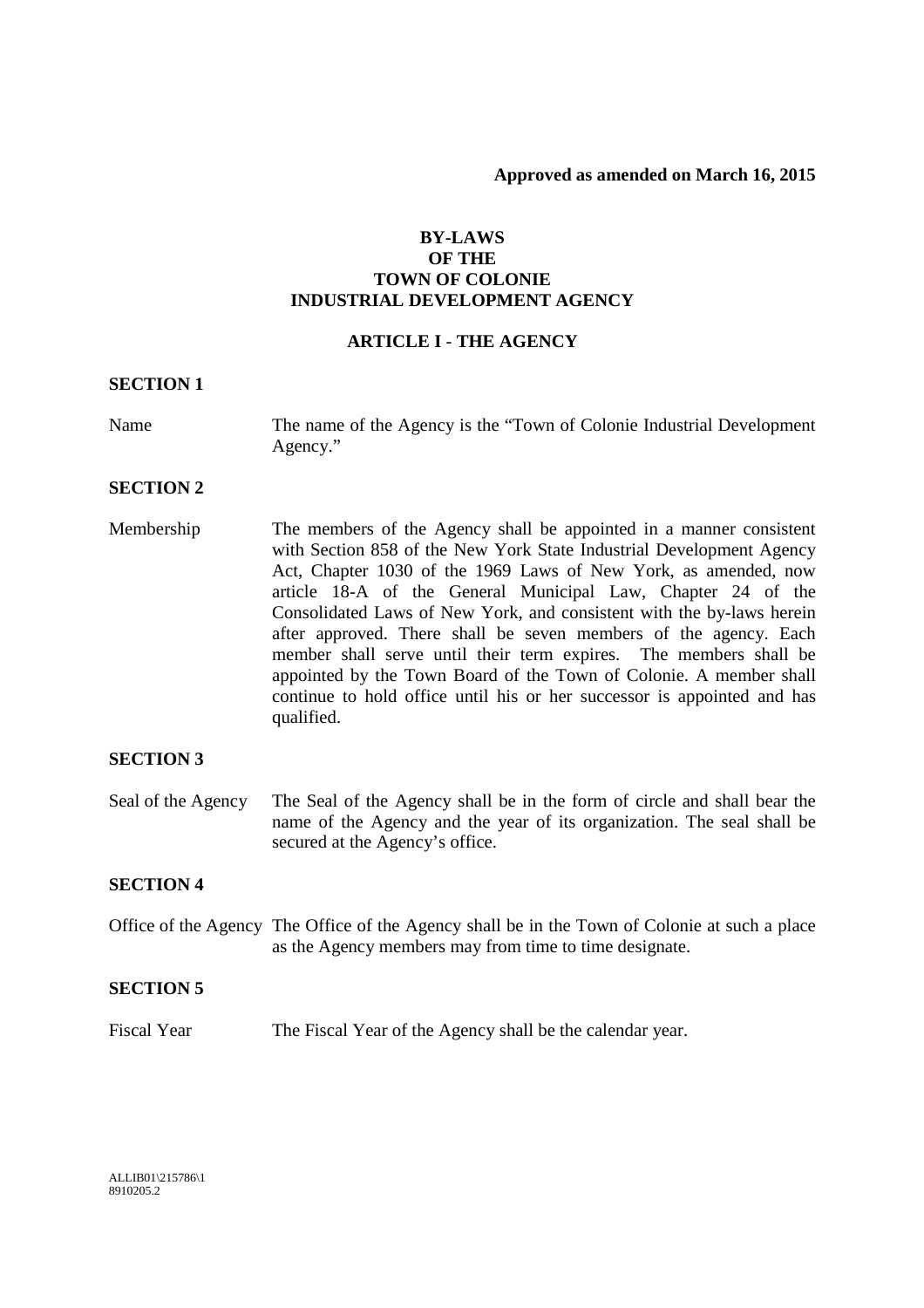## **Approved as amended on March 16, 2015**

# **BY-LAWS OF THE TOWN OF COLONIE INDUSTRIAL DEVELOPMENT AGENCY**

## **ARTICLE I** - **THE AGENCY**

#### **SECTION 1**

Name The name of the Agency is the "Town of Colonie Industrial Development" Agency."

## **SECTION 2**

Membership The members of the Agency shall be appointed in a manner consistent with Section 858 of the New York State Industrial Development Agency Act, Chapter 1030 of the 1969 Laws of New York, as amended, now article 18-A of the General Municipal Law, Chapter 24 of the Consolidated Laws of New York, and consistent with the by-laws herein after approved. There shall be seven members of the agency. Each member shall serve until their term expires. The members shall be appointed by the Town Board of the Town of Colonie. A member shall continue to hold office until his or her successor is appointed and has qualified.

## **SECTION 3**

Seal of the Agency The Seal of the Agency shall be in the form of circle and shall bear the name of the Agency and the year of its organization. The seal shall be secured at the Agency's office.

### **SECTION 4**

Office of the Agency The Office of the Agency shall be in the Town of Colonie at such a place as the Agency members may from time to time designate.

## **SECTION 5**

Fiscal Year The Fiscal Year of the Agency shall be the calendar year.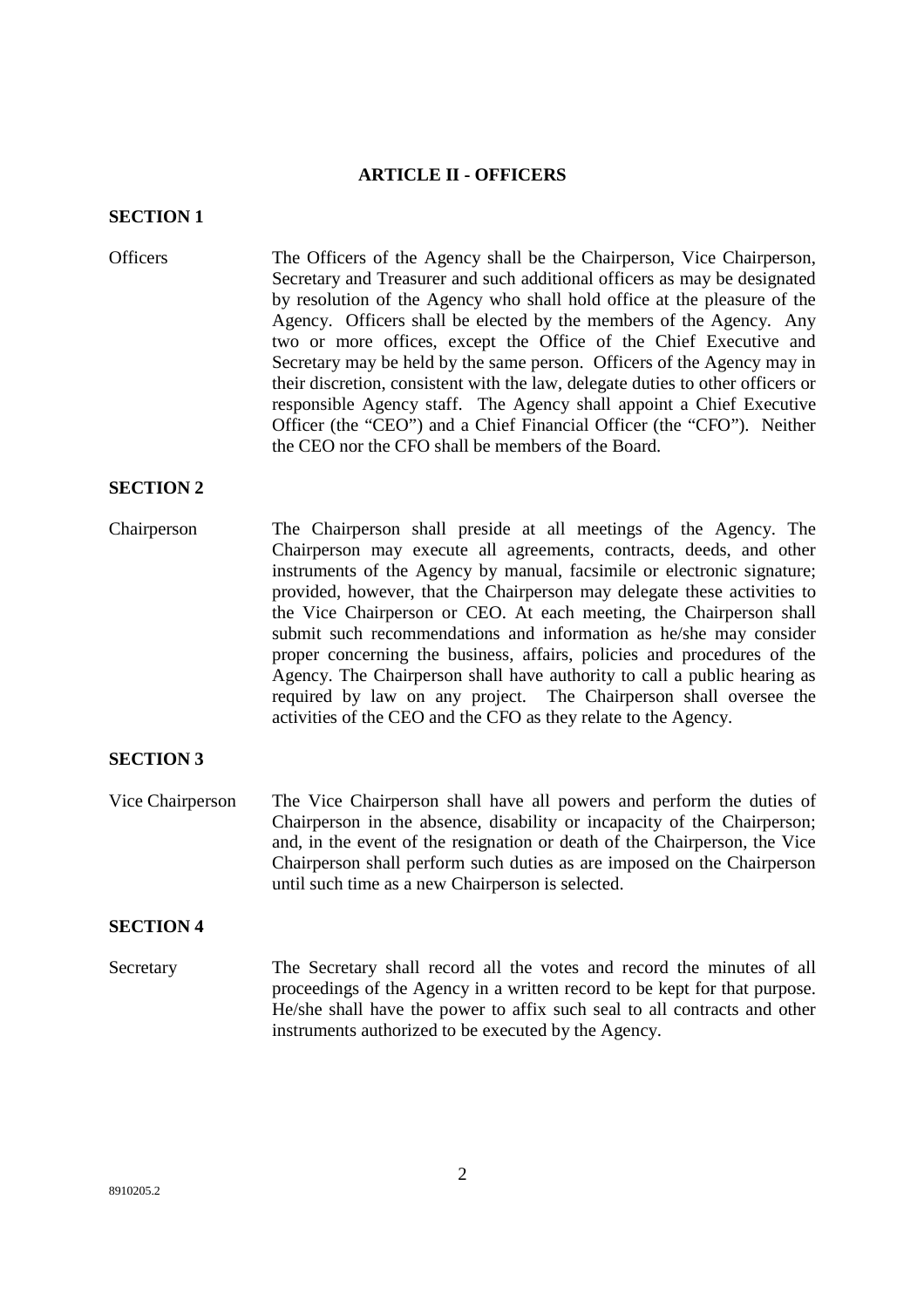#### **ARTICLE II - OFFICERS**

#### **SECTION 1**

Officers The Officers of the Agency shall be the Chairperson, Vice Chairperson, Secretary and Treasurer and such additional officers as may be designated by resolution of the Agency who shall hold office at the pleasure of the Agency. Officers shall be elected by the members of the Agency. Any two or more offices, except the Office of the Chief Executive and Secretary may be held by the same person. Officers of the Agency may in their discretion, consistent with the law, delegate duties to other officers or responsible Agency staff. The Agency shall appoint a Chief Executive Officer (the "CEO") and a Chief Financial Officer (the "CFO"). Neither the CEO nor the CFO shall be members of the Board.

## **SECTION 2**

Chairperson The Chairperson shall preside at all meetings of the Agency. The Chairperson may execute all agreements, contracts, deeds, and other instruments of the Agency by manual, facsimile or electronic signature; provided, however, that the Chairperson may delegate these activities to the Vice Chairperson or CEO. At each meeting, the Chairperson shall submit such recommendations and information as he/she may consider proper concerning the business, affairs, policies and procedures of the Agency. The Chairperson shall have authority to call a public hearing as required by law on any project. The Chairperson shall oversee the activities of the CEO and the CFO as they relate to the Agency.

### **SECTION 3**

Vice Chairperson The Vice Chairperson shall have all powers and perform the duties of Chairperson in the absence, disability or incapacity of the Chairperson; and, in the event of the resignation or death of the Chairperson, the Vice Chairperson shall perform such duties as are imposed on the Chairperson until such time as a new Chairperson is selected.

# **SECTION 4**

Secretary The Secretary shall record all the votes and record the minutes of all proceedings of the Agency in a written record to be kept for that purpose. He/she shall have the power to affix such seal to all contracts and other instruments authorized to be executed by the Agency.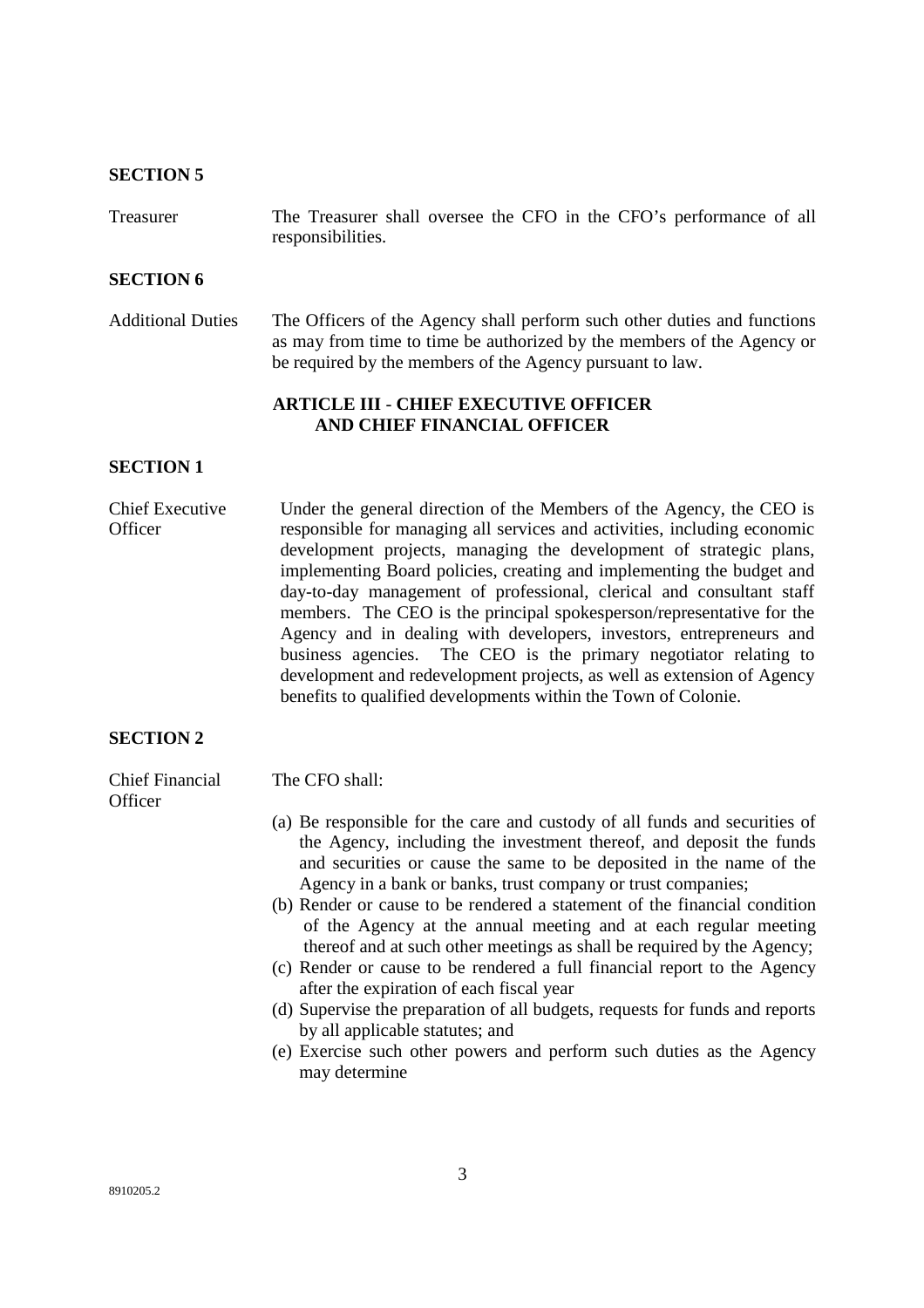#### **SECTION 5**

Treasurer The Treasurer shall oversee the CFO in the CFO's performance of all responsibilities.

## **SECTION 6**

Additional Duties The Officers of the Agency shall perform such other duties and functions as may from time to time be authorized by the members of the Agency or be required by the members of the Agency pursuant to law.

# **ARTICLE III** - **CHIEF EXECUTIVE OFFICER AND CHIEF FINANCIAL OFFICER**

## **SECTION 1**

Chief Executive **Officer** Under the general direction of the Members of the Agency, the CEO is responsible for managing all services and activities, including economic development projects, managing the development of strategic plans, implementing Board policies, creating and implementing the budget and day-to-day management of professional, clerical and consultant staff members. The CEO is the principal spokesperson/representative for the Agency and in dealing with developers, investors, entrepreneurs and business agencies. The CEO is the primary negotiator relating to development and redevelopment projects, as well as extension of Agency benefits to qualified developments within the Town of Colonie.

### **SECTION 2**

**Officer** 

Chief Financial The CFO shall:

- (a) Be responsible for the care and custody of all funds and securities of the Agency, including the investment thereof, and deposit the funds and securities or cause the same to be deposited in the name of the Agency in a bank or banks, trust company or trust companies;
- (b) Render or cause to be rendered a statement of the financial condition of the Agency at the annual meeting and at each regular meeting thereof and at such other meetings as shall be required by the Agency;
- (c) Render or cause to be rendered a full financial report to the Agency after the expiration of each fiscal year
- (d) Supervise the preparation of all budgets, requests for funds and reports by all applicable statutes; and
- (e) Exercise such other powers and perform such duties as the Agency may determine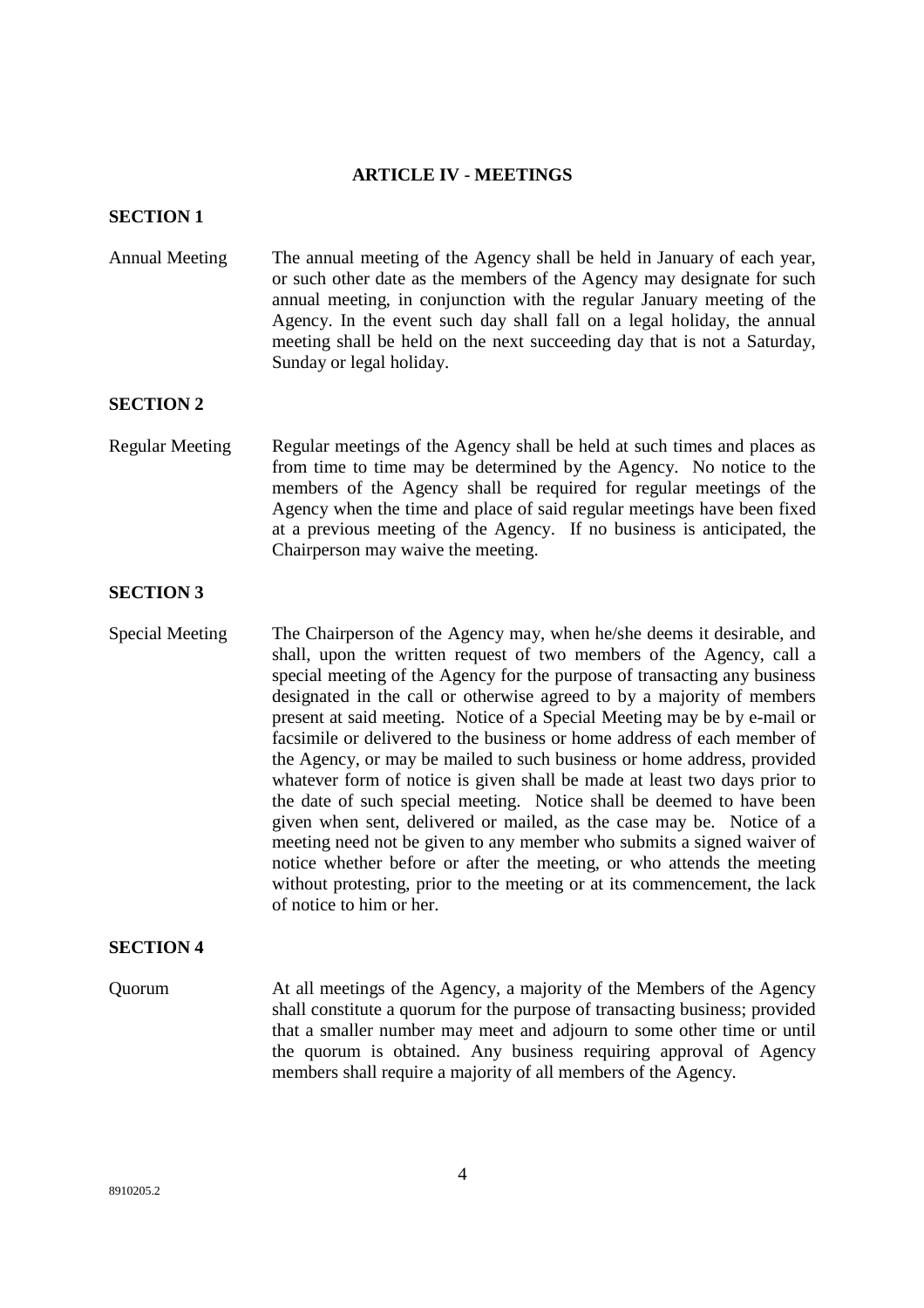#### **ARTICLE IV** - **MEETINGS**

### **SECTION 1**

Annual Meeting The annual meeting of the Agency shall be held in January of each year, or such other date as the members of the Agency may designate for such annual meeting, in conjunction with the regular January meeting of the Agency. In the event such day shall fall on a legal holiday, the annual meeting shall be held on the next succeeding day that is not a Saturday, Sunday or legal holiday.

## **SECTION 2**

Regular Meeting Regular meetings of the Agency shall be held at such times and places as from time to time may be determined by the Agency. No notice to the members of the Agency shall be required for regular meetings of the Agency when the time and place of said regular meetings have been fixed at a previous meeting of the Agency. If no business is anticipated, the Chairperson may waive the meeting.

### **SECTION 3**

Special Meeting The Chairperson of the Agency may, when he/she deems it desirable, and shall, upon the written request of two members of the Agency, call a special meeting of the Agency for the purpose of transacting any business designated in the call or otherwise agreed to by a majority of members present at said meeting. Notice of a Special Meeting may be by e-mail or facsimile or delivered to the business or home address of each member of the Agency, or may be mailed to such business or home address, provided whatever form of notice is given shall be made at least two days prior to the date of such special meeting. Notice shall be deemed to have been given when sent, delivered or mailed, as the case may be. Notice of a meeting need not be given to any member who submits a signed waiver of notice whether before or after the meeting, or who attends the meeting without protesting, prior to the meeting or at its commencement, the lack of notice to him or her.

## **SECTION 4**

Quorum At all meetings of the Agency, a majority of the Members of the Agency shall constitute a quorum for the purpose of transacting business; provided that a smaller number may meet and adjourn to some other time or until the quorum is obtained. Any business requiring approval of Agency members shall require a majority of all members of the Agency.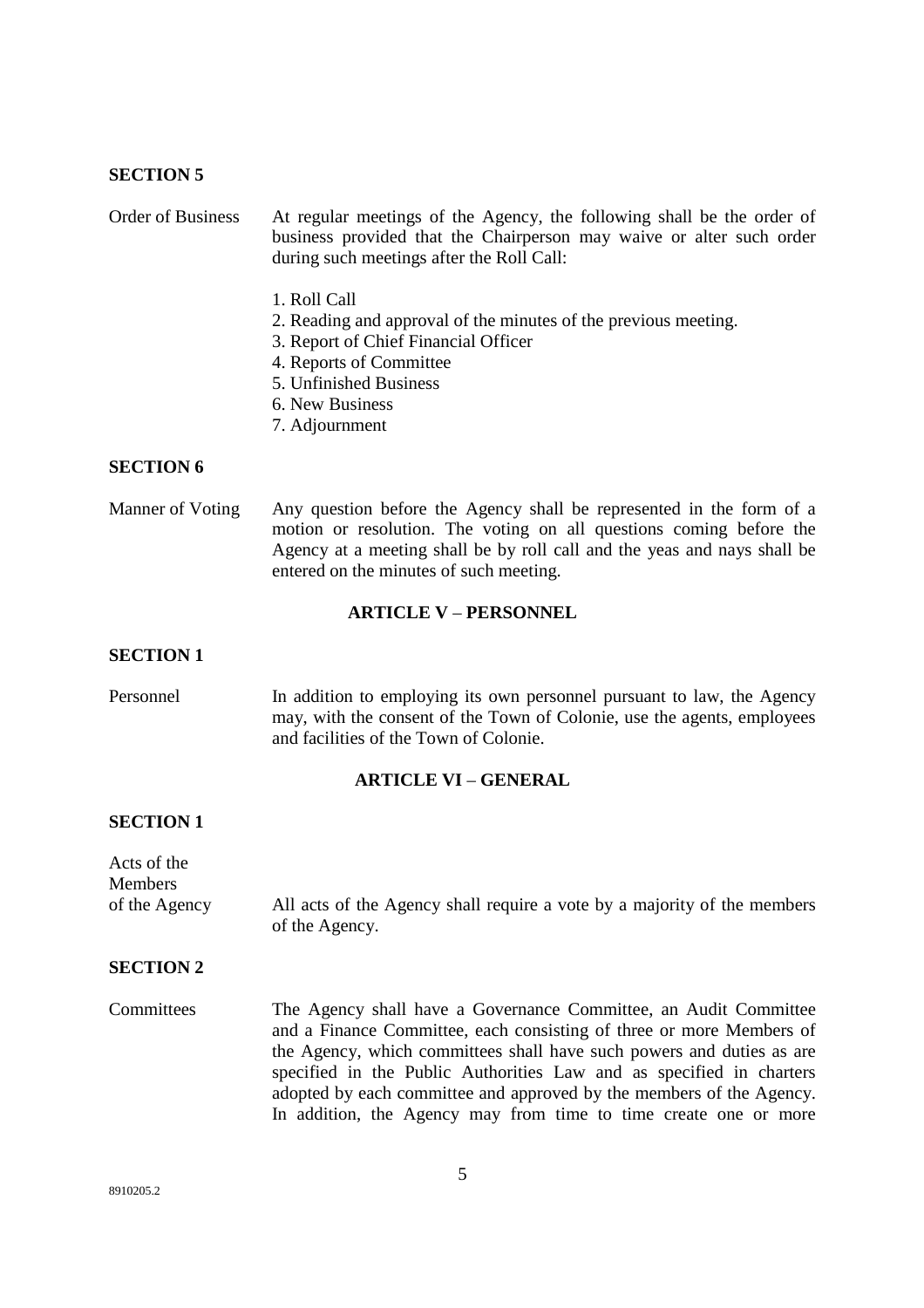#### **SECTION 5**

Order of Business At regular meetings of the Agency, the following shall be the order of business provided that the Chairperson may waive or alter such order during such meetings after the Roll Call:

- 1. Roll Call
- 2. Reading and approval of the minutes of the previous meeting.
- 3. Report of Chief Financial Officer
- 4. Reports of Committee
- 5. Unfinished Business
- 6. New Business
- 7. Adjournment

## **SECTION 6**

Manner of Voting Any question before the Agency shall be represented in the form of a motion or resolution. The voting on all questions coming before the Agency at a meeting shall be by roll call and the yeas and nays shall be entered on the minutes of such meeting.

## **ARTICLE V** – **PERSONNEL**

## **SECTION 1**

Personnel In addition to employing its own personnel pursuant to law, the Agency may, with the consent of the Town of Colonie, use the agents, employees and facilities of the Town of Colonie.

# **ARTICLE VI** – **GENERAL**

#### **SECTION 1**

| Acts of the    |                                                                          |
|----------------|--------------------------------------------------------------------------|
| <b>Members</b> |                                                                          |
| of the Agency  | All acts of the Agency shall require a vote by a majority of the members |
|                | of the Agency.                                                           |

#### **SECTION 2**

Committees The Agency shall have a Governance Committee, an Audit Committee and a Finance Committee, each consisting of three or more Members of the Agency, which committees shall have such powers and duties as are specified in the Public Authorities Law and as specified in charters adopted by each committee and approved by the members of the Agency. In addition, the Agency may from time to time create one or more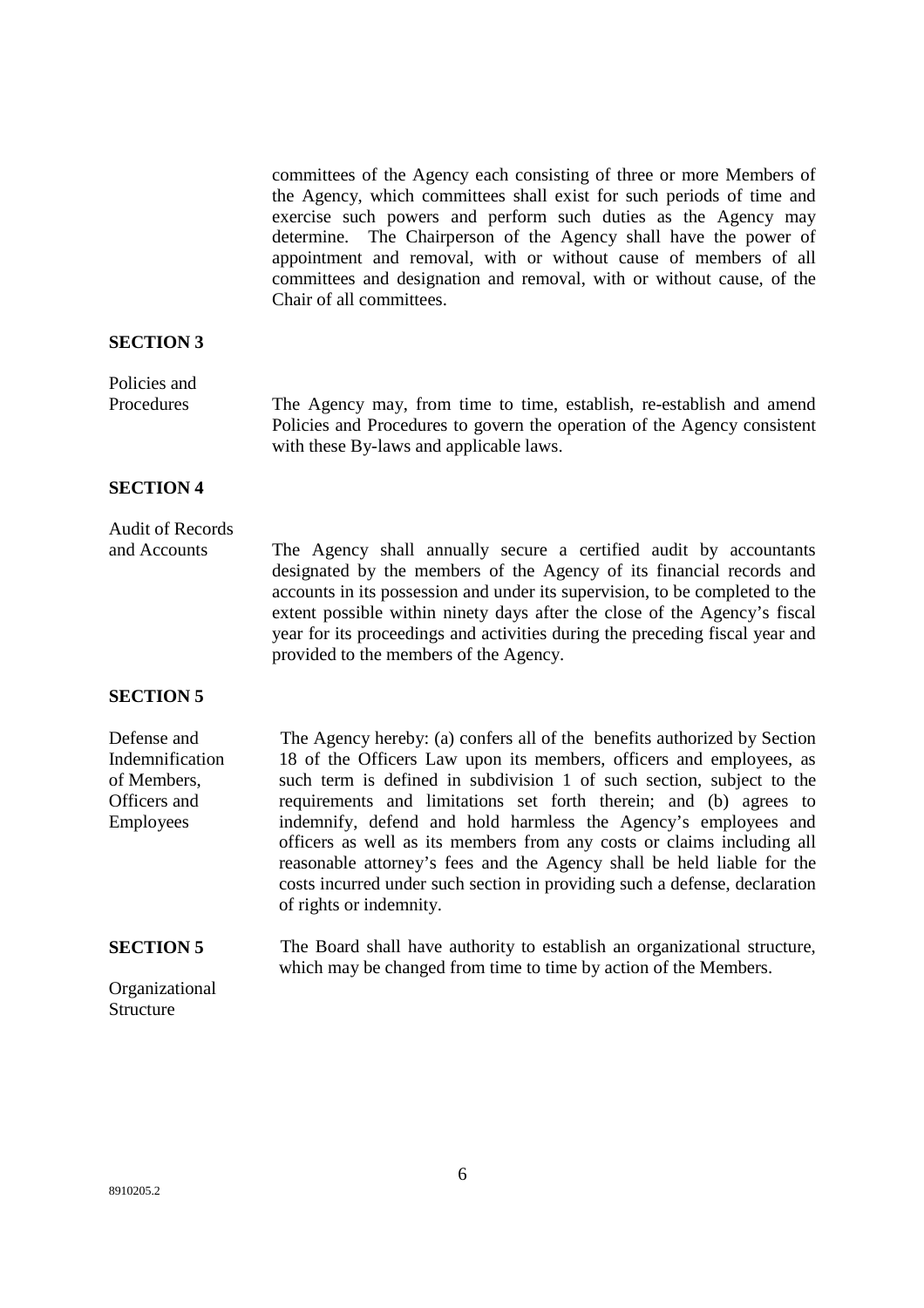committees of the Agency each consisting of three or more Members of the Agency, which committees shall exist for such periods of time and exercise such powers and perform such duties as the Agency may determine. The Chairperson of the Agency shall have the power of appointment and removal, with or without cause of members of all committees and designation and removal, with or without cause, of the Chair of all committees.

## **SECTION 3**

Policies and

Procedures The Agency may, from time to time, establish, re-establish and amend Policies and Procedures to govern the operation of the Agency consistent with these By-laws and applicable laws.

# **SECTION 4**

Audit of Records and Accounts The Agency shall annually secure a certified audit by accountants designated by the members of the Agency of its financial records and accounts in its possession and under its supervision, to be completed to the extent possible within ninety days after the close of the Agency's fiscal year for its proceedings and activities during the preceding fiscal year and provided to the members of the Agency.

# **SECTION 5**

Defense and Indemnification of Members, Officers and Employees The Agency hereby: (a) confers all of the benefits authorized by Section 18 of the Officers Law upon its members, officers and employees, as such term is defined in subdivision 1 of such section, subject to the requirements and limitations set forth therein; and (b) agrees to indemnify, defend and hold harmless the Agency's employees and officers as well as its members from any costs or claims including all reasonable attorney's fees and the Agency shall be held liable for the costs incurred under such section in providing such a defense, declaration of rights or indemnity.

**SECTION 5** The Board shall have authority to establish an organizational structure, which may be changed from time to time by action of the Members.

Organizational Structure